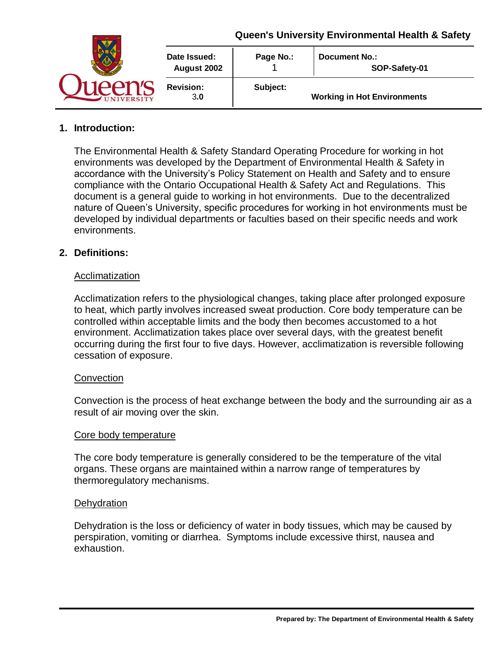|                    | Date Issued:<br>August 2002 | Page No.: | <b>Document No.:</b><br>SOP-Safety-01 |
|--------------------|-----------------------------|-----------|---------------------------------------|
| <b>AITVED SITY</b> | <b>Revision:</b><br>3.0     | Subject:  | <b>Working in Hot Environments</b>    |

## **1. Introduction:**

The Environmental Health & Safety Standard Operating Procedure for working in hot environments was developed by the Department of Environmental Health & Safety in accordance with the University's Policy Statement on Health and Safety and to ensure compliance with the Ontario Occupational Health & Safety Act and Regulations. This document is a general guide to working in hot environments. Due to the decentralized nature of Queen's University, specific procedures for working in hot environments must be developed by individual departments or faculties based on their specific needs and work environments.

### **2. Definitions:**

### Acclimatization

Acclimatization refers to the physiological changes, taking place after prolonged exposure to heat, which partly involves increased sweat production. Core body temperature can be controlled within acceptable limits and the body then becomes accustomed to a hot environment. Acclimatization takes place over several days, with the greatest benefit occurring during the first four to five days. However, acclimatization is reversible following cessation of exposure.

#### **Convection**

Convection is the process of heat exchange between the body and the surrounding air as a result of air moving over the skin.

#### Core body temperature

The core body temperature is generally considered to be the temperature of the vital organs. These organs are maintained within a narrow range of temperatures by thermoregulatory mechanisms.

#### **Dehydration**

Dehydration is the loss or deficiency of water in body tissues, which may be caused by perspiration, vomiting or diarrhea. Symptoms include excessive thirst, nausea and exhaustion.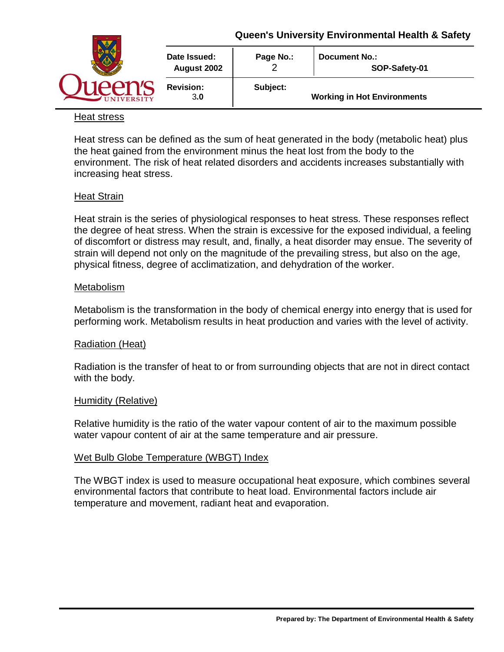

#### Heat stress

Heat stress can be defined as the sum of heat generated in the body (metabolic heat) plus the heat gained from the environment minus the heat lost from the body to the environment. The risk of heat related disorders and accidents increases substantially with increasing heat stress.

### Heat Strain

Heat strain is the series of physiological responses to heat stress. These responses reflect the degree of heat stress. When the strain is excessive for the exposed individual, a feeling of discomfort or distress may result, and, finally, a heat disorder may ensue. The severity of strain will depend not only on the magnitude of the prevailing stress, but also on the age, physical fitness, degree of acclimatization, and dehydration of the worker.

#### Metabolism

Metabolism is the transformation in the body of chemical energy into energy that is used for performing work. Metabolism results in heat production and varies with the level of activity.

#### Radiation (Heat)

Radiation is the transfer of heat to or from surrounding objects that are not in direct contact with the body.

#### Humidity (Relative)

Relative humidity is the ratio of the water vapour content of air to the maximum possible water vapour content of air at the same temperature and air pressure.

#### Wet Bulb Globe Temperature (WBGT) Index

The WBGT index is used to measure occupational heat exposure, which combines several environmental factors that contribute to heat load. Environmental factors include air temperature and movement, radiant heat and evaporation.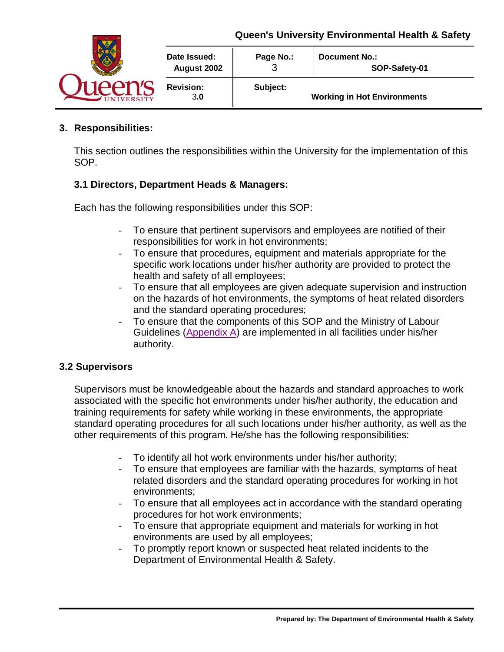

# **3. Responsibilities:**

This section outlines the responsibilities within the University for the implementation of this SOP.

# **3.1 Directors, Department Heads & Managers:**

Each has the following responsibilities under this SOP:

- To ensure that pertinent supervisors and employees are notified of their responsibilities for work in hot environments;
- To ensure that procedures, equipment and materials appropriate for the specific work locations under his/her authority are provided to protect the health and safety of all employees;
- To ensure that all employees are given adequate supervision and instruction on the hazards of hot environments, the symptoms of heat related disorders and the standard operating procedures;
- To ensure that the components of this SOP and the Ministry of Labour Guidelines [\(Appendix A\)](https://www.labour.gov.on.ca/english/hs/pubs/gl_heat.php) are implemented in all facilities under his/her authority.

### **3.2 Supervisors**

Supervisors must be knowledgeable about the hazards and standard approaches to work associated with the specific hot environments under his/her authority, the education and training requirements for safety while working in these environments, the appropriate standard operating procedures for all such locations under his/her authority, as well as the other requirements of this program. He/she has the following responsibilities:

- To identify all hot work environments under his/her authority;
- To ensure that employees are familiar with the hazards, symptoms of heat related disorders and the standard operating procedures for working in hot environments;
- To ensure that all employees act in accordance with the standard operating procedures for hot work environments;
- To ensure that appropriate equipment and materials for working in hot environments are used by all employees;
- To promptly report known or suspected heat related incidents to the Department of Environmental Health & Safety.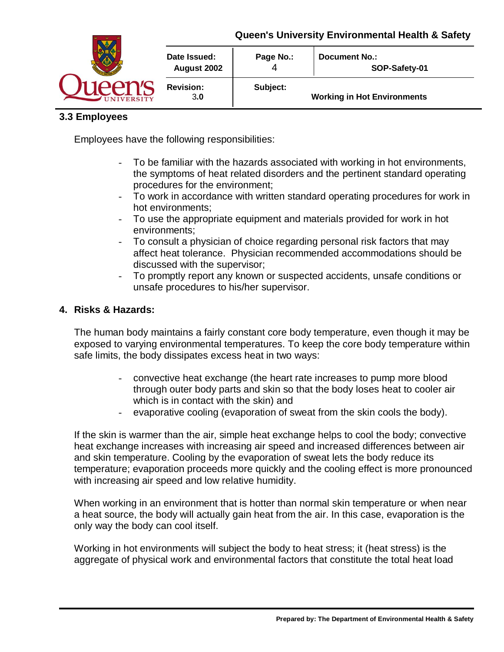

# **3.3 Employees**

Employees have the following responsibilities:

- To be familiar with the hazards associated with working in hot environments, the symptoms of heat related disorders and the pertinent standard operating procedures for the environment;
- To work in accordance with written standard operating procedures for work in hot environments;
- To use the appropriate equipment and materials provided for work in hot environments;
- To consult a physician of choice regarding personal risk factors that may affect heat tolerance. Physician recommended accommodations should be discussed with the supervisor;
- To promptly report any known or suspected accidents, unsafe conditions or unsafe procedures to his/her supervisor.

### **4. Risks & Hazards:**

The human body maintains a fairly constant core body temperature, even though it may be exposed to varying environmental temperatures. To keep the core body temperature within safe limits, the body dissipates excess heat in two ways:

- convective heat exchange (the heart rate increases to pump more blood through outer body parts and skin so that the body loses heat to cooler air which is in contact with the skin) and
- evaporative cooling (evaporation of sweat from the skin cools the body).

If the skin is warmer than the air, simple heat exchange helps to cool the body; convective heat exchange increases with increasing air speed and increased differences between air and skin temperature. Cooling by the evaporation of sweat lets the body reduce its temperature; evaporation proceeds more quickly and the cooling effect is more pronounced with increasing air speed and low relative humidity.

When working in an environment that is hotter than normal skin temperature or when near a heat source, the body will actually gain heat from the air. In this case, evaporation is the only way the body can cool itself.

Working in hot environments will subject the body to heat stress; it (heat stress) is the aggregate of physical work and environmental factors that constitute the total heat load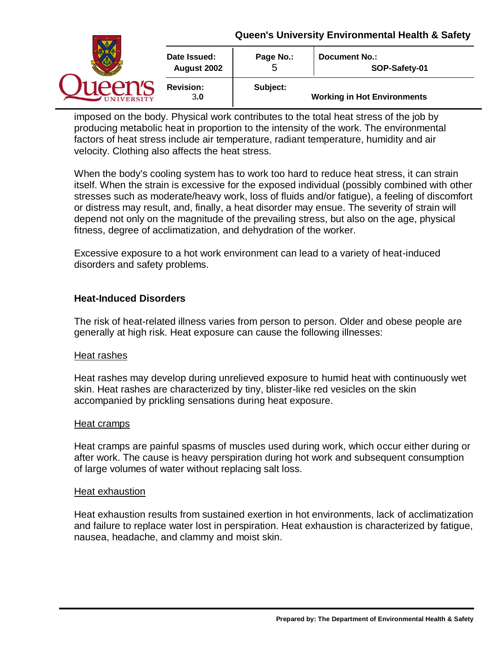

imposed on the body. Physical work contributes to the total heat stress of the job by producing metabolic heat in proportion to the intensity of the work. The environmental factors of heat stress include air temperature, radiant temperature, humidity and air velocity. Clothing also affects the heat stress.

When the body's cooling system has to work too hard to reduce heat stress, it can strain itself. When the strain is excessive for the exposed individual (possibly combined with other stresses such as moderate/heavy work, loss of fluids and/or fatigue), a feeling of discomfort or distress may result, and, finally, a heat disorder may ensue. The severity of strain will depend not only on the magnitude of the prevailing stress, but also on the age, physical fitness, degree of acclimatization, and dehydration of the worker.

Excessive exposure to a hot work environment can lead to a variety of heat-induced disorders and safety problems.

# **Heat-Induced Disorders**

The risk of heat-related illness varies from person to person. Older and obese people are generally at high risk. Heat exposure can cause the following illnesses:

#### Heat rashes

Heat rashes may develop during unrelieved exposure to humid heat with continuously wet skin. Heat rashes are characterized by tiny, blister-like red vesicles on the skin accompanied by prickling sensations during heat exposure.

#### Heat cramps

Heat cramps are painful spasms of muscles used during work, which occur either during or after work. The cause is heavy perspiration during hot work and subsequent consumption of large volumes of water without replacing salt loss.

#### Heat exhaustion

Heat exhaustion results from sustained exertion in hot environments, lack of acclimatization and failure to replace water lost in perspiration. Heat exhaustion is characterized by fatigue, nausea, headache, and clammy and moist skin.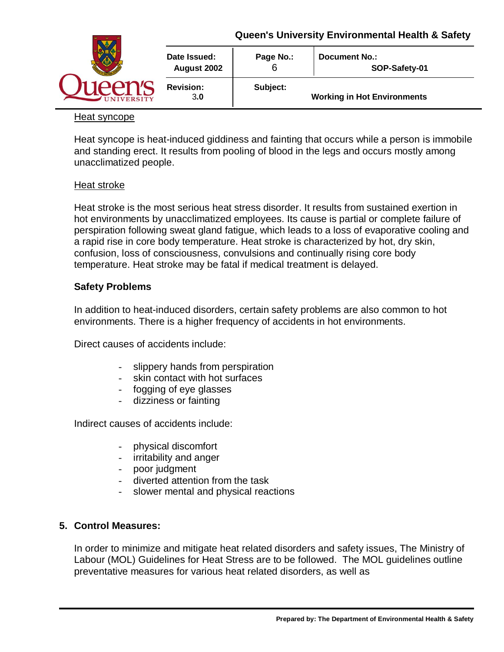

#### Heat syncope

Heat syncope is heat-induced giddiness and fainting that occurs while a person is immobile and standing erect. It results from pooling of blood in the legs and occurs mostly among unacclimatized people.

#### Heat stroke

Heat stroke is the most serious heat stress disorder. It results from sustained exertion in hot environments by unacclimatized employees. Its cause is partial or complete failure of perspiration following sweat gland fatigue, which leads to a loss of evaporative cooling and a rapid rise in core body temperature. Heat stroke is characterized by hot, dry skin, confusion, loss of consciousness, convulsions and continually rising core body temperature. Heat stroke may be fatal if medical treatment is delayed.

### **Safety Problems**

In addition to heat-induced disorders, certain safety problems are also common to hot environments. There is a higher frequency of accidents in hot environments.

Direct causes of accidents include:

- slippery hands from perspiration
- skin contact with hot surfaces
- fogging of eye glasses
- dizziness or fainting

Indirect causes of accidents include:

- physical discomfort
- irritability and anger
- poor judgment
- diverted attention from the task
- slower mental and physical reactions

# **5. Control Measures:**

In order to minimize and mitigate heat related disorders and safety issues, The Ministry of Labour (MOL) Guidelines for Heat Stress are to be followed. The MOL guidelines outline preventative measures for various heat related disorders, as well as